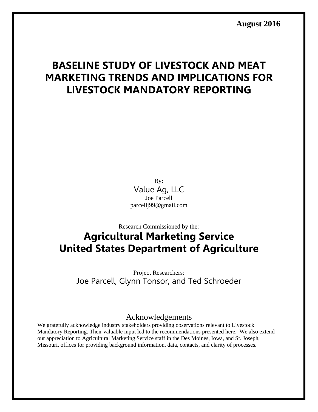**August 2016** 

# **BASELINE STUDY OF LIVESTOCK AND MEAT MARKETING TRENDS AND IMPLICATIONS FOR LIVESTOCK MANDATORY REPORTING**

By: Value Ag, LLC Joe Parcell parcellj99@gmail.com

# Research Commissioned by the: **Agricultural Marketing Service United States Department of Agriculture**

Project Researchers: Joe Parcell, Glynn Tonsor, and Ted Schroeder

### Acknowledgements

We gratefully acknowledge industry stakeholders providing observations relevant to Livestock Mandatory Reporting. Their valuable input led to the recommendations presented here. We also extend our appreciation to Agricultural Marketing Service staff in the Des Moines, Iowa, and St. Joseph, Missouri, offices for providing background information, data, contacts, and clarity of processes.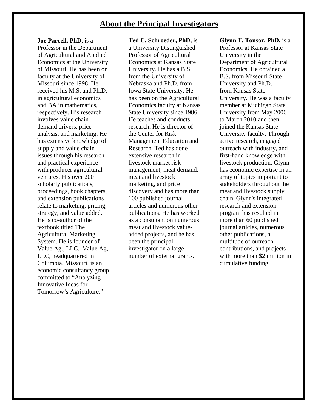### **About the Principal Investigators**

#### **Joe Parcell, PhD**, is a

Professor in the Department of Agricultural and Applied Economics at the University of Missouri. He has been on faculty at the University of Missouri since 1998. He received his M.S. and Ph.D. in agricultural economics and BA in mathematics, respectively. His research involves value chain demand drivers, price analysis, and marketing. He has extensive knowledge of supply and value chain issues through his research and practical experience with producer agricultural ventures. His over 200 scholarly publications, proceedings, book chapters, and extension publications relate to marketing, pricing, strategy, and value added. He is co-author of the textbook titled The Agricultural Marketing System. He is founder of Value Ag., LLC. Value Ag, LLC, headquartered in Columbia, Missouri, is an economic consultancy group committed to "Analyzing Innovative Ideas for Tomorrow's Agriculture."

#### **Ted C. Schroeder, PhD,** is

a University Distinguished Professor of Agricultural Economics at Kansas State University. He has a B.S. from the University of Nebraska and Ph.D. from Iowa State University. He has been on the Agricultural Economics faculty at Kansas State University since 1986. He teaches and conducts research. He is director of the Center for Risk Management Education and Research. Ted has done extensive research in livestock market risk management, meat demand, meat and livestock marketing, and price discovery and has more than 100 published journal articles and numerous other publications. He has worked as a consultant on numerous meat and livestock valueadded projects, and he has been the principal investigator on a large number of external grants.

**Glynn T. Tonsor, PhD,** is a

Professor at Kansas State University in the Department of Agricultural Economics. He obtained a B.S. from Missouri State University and Ph.D. from Kansas State University. He was a faculty member at Michigan State University from May 2006 to March 2010 and then joined the Kansas State University faculty. Through active research, engaged outreach with industry, and first-hand knowledge with livestock production, Glynn has economic expertise in an array of topics important to stakeholders throughout the meat and livestock supply chain. Glynn's integrated research and extension program has resulted in more than 60 published journal articles, numerous other publications, a multitude of outreach contributions, and projects with more than \$2 million in cumulative funding.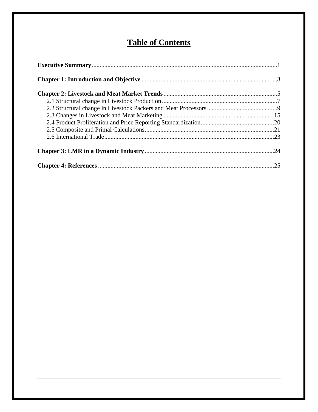# **Table of Contents**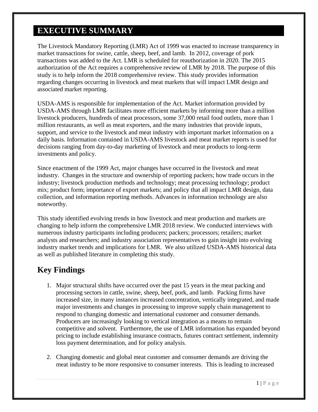# **EXECUTIVE SUMMARY**

The Livestock Mandatory Reporting (LMR) Act of 1999 was enacted to increase transparency in market transactions for swine, cattle, sheep, beef, and lamb. In 2012, coverage of pork transactions was added to the Act. LMR is scheduled for reauthorization in 2020. The 2015 authorization of the Act requires a comprehensive review of LMR by 2018. The purpose of this study is to help inform the 2018 comprehensive review. This study provides information regarding changes occurring in livestock and meat markets that will impact LMR design and associated market reporting.

USDA-AMS is responsible for implementation of the Act. Market information provided by USDA-AMS through LMR facilitates more efficient markets by informing more than a million livestock producers, hundreds of meat processors, some 37,000 retail food outlets, more than 1 million restaurants, as well as meat exporters, and the many industries that provide inputs, support, and service to the livestock and meat industry with important market information on a daily basis. Information contained in USDA-AMS livestock and meat market reports is used for decisions ranging from day-to-day marketing of livestock and meat products to long-term investments and policy.

Since enactment of the 1999 Act, major changes have occurred in the livestock and meat industry. Changes in the structure and ownership of reporting packers; how trade occurs in the industry; livestock production methods and technology; meat processing technology; product mix; product form; importance of export markets; and policy that all impact LMR design, data collection, and information reporting methods. Advances in information technology are also noteworthy.

This study identified evolving trends in how livestock and meat production and markets are changing to help inform the comprehensive LMR 2018 review. We conducted interviews with numerous industry participants including producers; packers; processors; retailers; market analysts and researchers; and industry association representatives to gain insight into evolving industry market trends and implications for LMR. We also utilized USDA-AMS historical data as well as published literature in completing this study.

# **Key Findings**

- 1. Major structural shifts have occurred over the past 15 years in the meat packing and processing sectors in cattle, swine, sheep, beef, pork, and lamb. Packing firms have increased size, in many instances increased concentration, vertically integrated, and made major investments and changes in processing to improve supply chain management to respond to changing domestic and international customer and consumer demands. Producers are increasingly looking to vertical integration as a means to remain competitive and solvent. Furthermore, the use of LMR information has expanded beyond pricing to include establishing insurance contracts, futures contract settlement, indemnity loss payment determination, and for policy analysis.
- 2. Changing domestic and global meat customer and consumer demands are driving the meat industry to be more responsive to consumer interests. This is leading to increased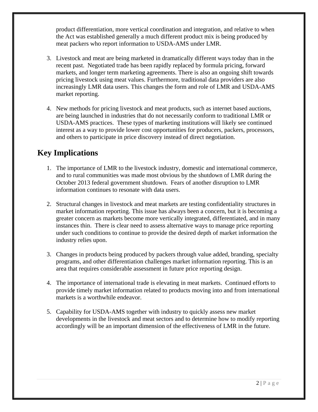product differentiation, more vertical coordination and integration, and relative to when the Act was established generally a much different product mix is being produced by meat packers who report information to USDA-AMS under LMR.

- 3. Livestock and meat are being marketed in dramatically different ways today than in the recent past. Negotiated trade has been rapidly replaced by formula pricing, forward markets, and longer term marketing agreements. There is also an ongoing shift towards pricing livestock using meat values. Furthermore, traditional data providers are also increasingly LMR data users. This changes the form and role of LMR and USDA-AMS market reporting.
- 4. New methods for pricing livestock and meat products, such as internet based auctions, are being launched in industries that do not necessarily conform to traditional LMR or USDA-AMS practices. These types of marketing institutions will likely see continued interest as a way to provide lower cost opportunities for producers, packers, processors, and others to participate in price discovery instead of direct negotiation.

# **Key Implications**

- 1. The importance of LMR to the livestock industry, domestic and international commerce, and to rural communities was made most obvious by the shutdown of LMR during the October 2013 federal government shutdown. Fears of another disruption to LMR information continues to resonate with data users.
- 2. Structural changes in livestock and meat markets are testing confidentiality structures in market information reporting. This issue has always been a concern, but it is becoming a greater concern as markets become more vertically integrated, differentiated, and in many instances thin. There is clear need to assess alternative ways to manage price reporting under such conditions to continue to provide the desired depth of market information the industry relies upon.
- 3. Changes in products being produced by packers through value added, branding, specialty programs, and other differentiation challenges market information reporting. This is an area that requires considerable assessment in future price reporting design.
- 4. The importance of international trade is elevating in meat markets. Continued efforts to provide timely market information related to products moving into and from international markets is a worthwhile endeavor.
- 5. Capability for USDA-AMS together with industry to quickly assess new market developments in the livestock and meat sectors and to determine how to modify reporting accordingly will be an important dimension of the effectiveness of LMR in the future.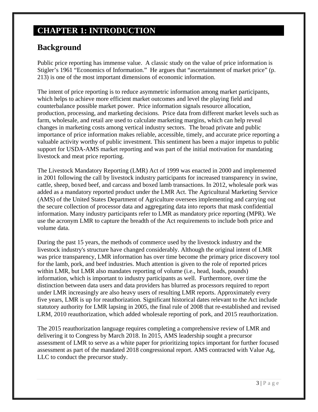# **CHAPTER 1: INTRODUCTION**

## **Background**

Public price reporting has immense value. A classic study on the value of price information is Stigler's 1961 "Economics of Information." He argues that "ascertainment of market price" (p. 213) is one of the most important dimensions of economic information.

The intent of price reporting is to reduce asymmetric information among market participants, which helps to achieve more efficient market outcomes and level the playing field and counterbalance possible market power. Price information signals resource allocation, production, processing, and marketing decisions. Price data from different market levels such as farm, wholesale, and retail are used to calculate marketing margins, which can help reveal changes in marketing costs among vertical industry sectors. The broad private and public importance of price information makes reliable, accessible, timely, and accurate price reporting a valuable activity worthy of public investment. This sentiment has been a major impetus to public support for USDA-AMS market reporting and was part of the initial motivation for mandating livestock and meat price reporting.

The Livestock Mandatory Reporting (LMR) Act of 1999 was enacted in 2000 and implemented in 2001 following the call by livestock industry participants for increased transparency in swine, cattle, sheep, boxed beef, and carcass and boxed lamb transactions. In 2012, wholesale pork was added as a mandatory reported product under the LMR Act. The Agricultural Marketing Service (AMS) of the United States Department of Agriculture oversees implementing and carrying out the secure collection of processor data and aggregating data into reports that mask confidential information. Many industry participants refer to LMR as mandatory price reporting (MPR). We use the acronym LMR to capture the breadth of the Act requirements to include both price and volume data.

During the past 15 years, the methods of commerce used by the livestock industry and the livestock industry's structure have changed considerably. Although the original intent of LMR was price transparency, LMR information has over time become the primary price discovery tool for the lamb, pork, and beef industries. Much attention is given to the role of reported prices within LMR, but LMR also mandates reporting of volume (i.e., head, loads, pounds) information, which is important to industry participants as well. Furthermore, over time the distinction between data users and data providers has blurred as processors required to report under LMR increasingly are also heavy users of resulting LMR reports. Approximately every five years, LMR is up for reauthorization. Significant historical dates relevant to the Act include statutory authority for LMR lapsing in 2005, the final rule of 2008 that re-established and revised LRM, 2010 reauthorization, which added wholesale reporting of pork, and 2015 reauthorization.

The 2015 reauthorization language requires completing a comprehensive review of LMR and delivering it to Congress by March 2018. In 2015, AMS leadership sought a precursor assessment of LMR to serve as a white paper for prioritizing topics important for further focused assessment as part of the mandated 2018 congressional report. AMS contracted with Value Ag, LLC to conduct the precursor study.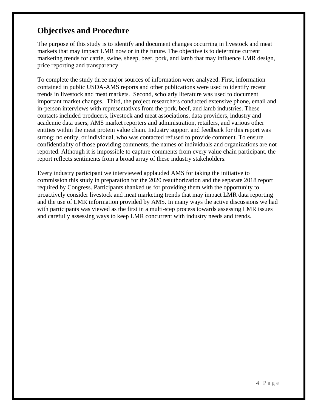# **Objectives and Procedure**

The purpose of this study is to identify and document changes occurring in livestock and meat markets that may impact LMR now or in the future. The objective is to determine current marketing trends for cattle, swine, sheep, beef, pork, and lamb that may influence LMR design, price reporting and transparency.

To complete the study three major sources of information were analyzed. First, information contained in public USDA-AMS reports and other publications were used to identify recent trends in livestock and meat markets. Second, scholarly literature was used to document important market changes. Third, the project researchers conducted extensive phone, email and in-person interviews with representatives from the pork, beef, and lamb industries. These contacts included producers, livestock and meat associations, data providers, industry and academic data users, AMS market reporters and administration, retailers, and various other entities within the meat protein value chain. Industry support and feedback for this report was strong; no entity, or individual, who was contacted refused to provide comment. To ensure confidentiality of those providing comments, the names of individuals and organizations are not reported. Although it is impossible to capture comments from every value chain participant, the report reflects sentiments from a broad array of these industry stakeholders.

Every industry participant we interviewed applauded AMS for taking the initiative to commission this study in preparation for the 2020 reauthorization and the separate 2018 report required by Congress. Participants thanked us for providing them with the opportunity to proactively consider livestock and meat marketing trends that may impact LMR data reporting and the use of LMR information provided by AMS. In many ways the active discussions we had with participants was viewed as the first in a multi-step process towards assessing LMR issues and carefully assessing ways to keep LMR concurrent with industry needs and trends.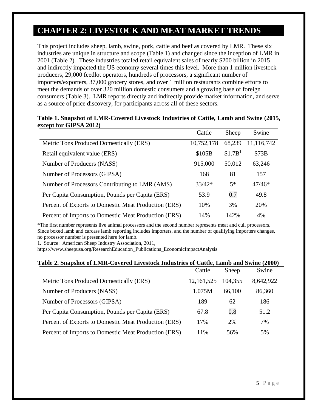# **CHAPTER 2: LIVESTOCK AND MEAT MARKET TRENDS**

This project includes sheep, lamb, swine, pork, cattle and beef as covered by LMR. These six industries are unique in structure and scope (Table 1) and changed since the inception of LMR in 2001 (Table 2). These industries totaled retail equivalent sales of nearly \$200 billion in 2015 and indirectly impacted the US economy several times this level. More than 1 million livestock producers, 29,000 feedlot operators, hundreds of processors, a significant number of importers/exporters, 37,000 grocery stores, and over 1 million restaurants combine efforts to meet the demands of over 320 million domestic consumers and a growing base of foreign consumers (Table 3). LMR reports directly and indirectly provide market information, and serve as a source of price discovery, for participants across all of these sectors.

#### **Table 1. Snapshot of LMR-Covered Livestock Industries of Cattle, Lamb and Swine (2015, except for GIPSA 2012)**

|                                                      | Cattle     | Sheep               | Swine      |
|------------------------------------------------------|------------|---------------------|------------|
| Metric Tons Produced Domestically (ERS)              | 10,752,178 | 68,239              | 11,116,742 |
| Retail equivalent value (ERS)                        | \$105B     | \$1.7B <sup>1</sup> | \$73B      |
| Number of Producers (NASS)                           | 915,000    | 50,012              | 63,246     |
| Number of Processors (GIPSA)                         | 168        | 81                  | 157        |
| Number of Processors Contributing to LMR (AMS)       | $33/42*$   | $5*$                | $47/46*$   |
| Per Capita Consumption, Pounds per Capita (ERS)      | 53.9       | 0.7                 | 49.8       |
| Percent of Exports to Domestic Meat Production (ERS) | 10%        | 3%                  | 20%        |
| Percent of Imports to Domestic Meat Production (ERS) | 14%        | 142%                | 4%         |

\*The first number represents live animal processors and the second number represents meat and cull processors. Since boxed lamb and carcass lamb reporting includes importers, and the number of qualifying importers changes, no processor number is presented here for lamb.

1. Source: American Sheep Industry Association, 2011,

https://www.sheepusa.org/ResearchEducation\_Publications\_EconomicImpactAnalysis

#### **Table 2. Snapshot of LMR-Covered Livestock Industries of Cattle, Lamb and Swine (2000)**

|                                                      | Cattle       | Sheep   | Swine     |
|------------------------------------------------------|--------------|---------|-----------|
| Metric Tons Produced Domestically (ERS)              | 12, 161, 525 | 104,355 | 8,642,922 |
| Number of Producers (NASS)                           | 1.075M       | 66,100  | 86,360    |
| Number of Processors (GIPSA)                         | 189          | 62      | 186       |
| Per Capita Consumption, Pounds per Capita (ERS)      | 67.8         | 0.8     | 51.2      |
| Percent of Exports to Domestic Meat Production (ERS) | 17%          | 2%      | 7%        |
| Percent of Imports to Domestic Meat Production (ERS) | 11%          | 56%     | 5%        |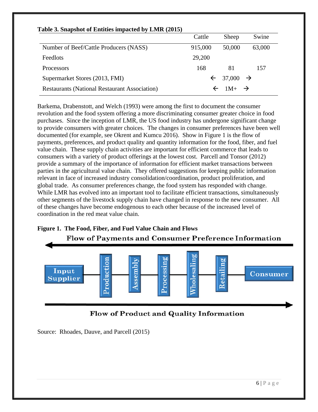| Table 3. Snapshot of Entities impacted by LMR (2015) |              |                        |               |
|------------------------------------------------------|--------------|------------------------|---------------|
|                                                      | Cattle       | Sheep                  | Swine         |
| Number of Beef/Cattle Producers (NASS)               | 915,000      | 50,000                 | 63,000        |
| Feedlots                                             | 29,200       |                        |               |
| Processors                                           | 168          | 81                     | 157           |
| Supermarket Stores (2013, FMI)                       | $\leftarrow$ | 37,000                 | $\rightarrow$ |
| <b>Restaurants (National Restaurant Association)</b> |              | $1M+$<br>$\rightarrow$ |               |

### **Table 3. Snapshot of Entities impacted by LMR (2015)**

Barkema, Drabenstott, and Welch (1993) were among the first to document the consumer revolution and the food system offering a more discriminating consumer greater choice in food purchases. Since the inception of LMR, the US food industry has undergone significant change to provide consumers with greater choices. The changes in consumer preferences have been well documented (for example, see Okrent and Kumcu 2016). Show in Figure 1 is the flow of payments, preferences, and product quality and quantity information for the food, fiber, and fuel value chain. These supply chain activities are important for efficient commerce that leads to consumers with a variety of product offerings at the lowest cost. Parcell and Tonsor (2012) provide a summary of the importance of information for efficient market transactions between parties in the agricultural value chain. They offered suggestions for keeping public information relevant in face of increased industry consolidation/coordination, product proliferation, and global trade. As consumer preferences change, the food system has responded with change. While LMR has evolved into an important tool to facilitate efficient transactions, simultaneously other segments of the livestock supply chain have changed in response to the new consumer. All of these changes have become endogenous to each other because of the increased level of coordination in the red meat value chain.

### **Figure 1. The Food, Fiber, and Fuel Value Chain and Flows Flow of Payments and Consumer Preference Information**





Source: Rhoades, Dauve, and Parcell (2015)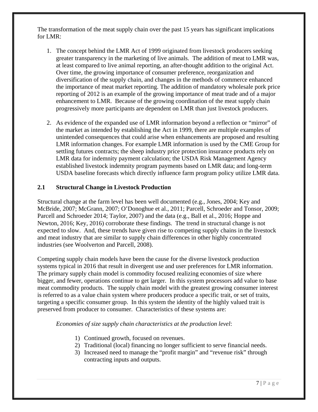The transformation of the meat supply chain over the past 15 years has significant implications for LMR:

- 1. The concept behind the LMR Act of 1999 originated from livestock producers seeking greater transparency in the marketing of live animals. The addition of meat to LMR was, at least compared to live animal reporting, an after-thought addition to the original Act. Over time, the growing importance of consumer preference, reorganization and diversification of the supply chain, and changes in the methods of commerce enhanced the importance of meat market reporting. The addition of mandatory wholesale pork price reporting of 2012 is an example of the growing importance of meat trade and of a major enhancement to LMR. Because of the growing coordination of the meat supply chain progressively more participants are dependent on LMR than just livestock producers.
- 2. As evidence of the expanded use of LMR information beyond a reflection or "mirror" of the market as intended by establishing the Act in 1999, there are multiple examples of unintended consequences that could arise when enhancements are proposed and resulting LMR information changes. For example LMR information is used by the CME Group for settling futures contracts; the sheep industry price protection insurance products rely on LMR data for indemnity payment calculation; the USDA Risk Management Agency established livestock indemnity program payments based on LMR data; and long-term USDA baseline forecasts which directly influence farm program policy utilize LMR data.

### **2.1 Structural Change in Livestock Production**

Structural change at the farm level has been well documented (e.g., Jones, 2004; Key and McBride, 2007; McGrann, 2007; O'Donoghue et al., 2011; Parcell, Schroeder and Tonsor, 2009; Parcell and Schroeder 2014; Taylor, 2007) and the data (e.g., Ball et al., 2016; Hoppe and Newton, 2016; Key, 2016) corroborate these findings. The trend in structural change is not expected to slow. And, these trends have given rise to competing supply chains in the livestock and meat industry that are similar to supply chain differences in other highly concentrated industries (see Woolverton and Parcell, 2008).

Competing supply chain models have been the cause for the diverse livestock production systems typical in 2016 that result in divergent use and user preferences for LMR information. The primary supply chain model is commodity focused realizing economies of size where bigger, and fewer, operations continue to get larger. In this system processors add value to base meat commodity products. The supply chain model with the greatest growing consumer interest is referred to as a value chain system where producers produce a specific trait, or set of traits, targeting a specific consumer group. In this system the identity of the highly valued trait is preserved from producer to consumer. Characteristics of these systems are:

 *Economies of size supply chain characteristics at the production level*:

- 1) Continued growth, focused on revenues.
- 2) Traditional (local) financing no longer sufficient to serve financial needs.
- 3) Increased need to manage the "profit margin" and "revenue risk" through contracting inputs and outputs.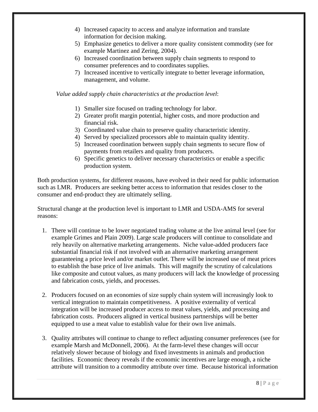- 4) Increased capacity to access and analyze information and translate information for decision making.
- 5) Emphasize genetics to deliver a more quality consistent commodity (see for example Martinez and Zering, 2004).
- 6) Increased coordination between supply chain segments to respond to consumer preferences and to coordinates supplies.
- 7) Increased incentive to vertically integrate to better leverage information, management, and volume.

 *Value added supply chain characteristics at the production level*:

- 1) Smaller size focused on trading technology for labor.
- 2) Greater profit margin potential, higher costs, and more production and financial risk.
- 3) Coordinated value chain to preserve quality characteristic identity.
- 4) Served by specialized processors able to maintain quality identity.
- 5) Increased coordination between supply chain segments to secure flow of payments from retailers and quality from producers.
- 6) Specific genetics to deliver necessary characteristics or enable a specific production system.

Both production systems, for different reasons, have evolved in their need for public information such as LMR. Producers are seeking better access to information that resides closer to the consumer and end-product they are ultimately selling.

Structural change at the production level is important to LMR and USDA-AMS for several reasons:

- 1. There will continue to be lower negotiated trading volume at the live animal level (see for example Grimes and Plain 2009). Large scale producers will continue to consolidate and rely heavily on alternative marketing arrangements. Niche value-added producers face substantial financial risk if not involved with an alternative marketing arrangement guaranteeing a price level and/or market outlet. There will be increased use of meat prices to establish the base price of live animals. This will magnify the scrutiny of calculations like composite and cutout values, as many producers will lack the knowledge of processing and fabrication costs, yields, and processes.
- 2. Producers focused on an economies of size supply chain system will increasingly look to vertical integration to maintain competitiveness. A positive externality of vertical integration will be increased producer access to meat values, yields, and processing and fabrication costs. Producers aligned in vertical business partnerships will be better equipped to use a meat value to establish value for their own live animals.
- 3. Quality attributes will continue to change to reflect adjusting consumer preferences (see for example Marsh and McDonnell, 2006). At the farm-level these changes will occur relatively slower because of biology and fixed investments in animals and production facilities. Economic theory reveals if the economic incentives are large enough, a niche attribute will transition to a commodity attribute over time. Because historical information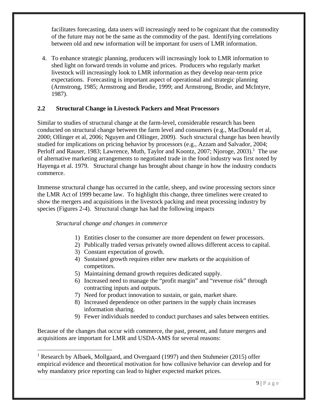facilitates forecasting, data users will increasingly need to be cognizant that the commodity of the future may not be the same as the commodity of the past. Identifying correlations between old and new information will be important for users of LMR information.

4. To enhance strategic planning, producers will increasingly look to LMR information to shed light on forward trends in volume and prices. Producers who regularly market livestock will increasingly look to LMR information as they develop near-term price expectations. Forecasting is important aspect of operational and strategic planning (Armstrong, 1985; Armstrong and Brodie, 1999; and Armstrong, Brodie, and McIntyre, 1987).

### **2.2 Structural Change in Livestock Packers and Meat Processors**

Similar to studies of structural change at the farm-level, considerable research has been conducted on structural change between the farm level and consumers (e.g., MacDonald et al, 2000; Ollinger et al, 2006; Nguyen and Ollinger, 2009). Such structural change has been heavily studied for implications on pricing behavior by processors (e.g., Azzam and Salvador, 2004; Perloff and Rauser, 1983; Lawrence, Muth, Taylor and Koontz, 2007; Njoroge, 2003).<sup>1</sup> The use of alternative marketing arrangements to negotiated trade in the food industry was first noted by Hayenga et al. 1979. Structural change has brought about change in how the industry conducts commerce.

Immense structural change has occurred in the cattle, sheep, and swine processing sectors since the LMR Act of 1999 became law. To highlight this change, three timelines were created to show the mergers and acquisitions in the livestock packing and meat processing industry by species (Figures 2-4). Structural change has had the following impacts

#### *Structural change and changes in commerce*

 $\overline{a}$ 

- 1) Entities closer to the consumer are more dependent on fewer processors.
- 2) Publically traded versus privately owned allows different access to capital.
- 3) Constant expectation of growth.
- 4) Sustained growth requires either new markets or the acquisition of competitors.
- 5) Maintaining demand growth requires dedicated supply.
- 6) Increased need to manage the "profit margin" and "revenue risk" through contracting inputs and outputs.
- 7) Need for product innovation to sustain, or gain, market share.
- 8) Increased dependence on other partners in the supply chain increases information sharing.
- 9) Fewer individuals needed to conduct purchases and sales between entities.

Because of the changes that occur with commerce, the past, present, and future mergers and acquisitions are important for LMR and USDA-AMS for several reasons:

<sup>&</sup>lt;sup>1</sup> Research by Albaek, Mollgaard, and Overgaard (1997) and then Stuhmeier (2015) offer empirical evidence and theoretical motivation for how collusive behavior can develop and for why mandatory price reporting can lead to higher expected market prices.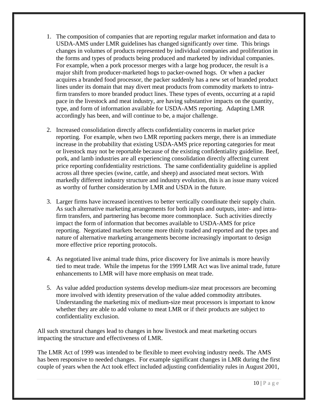- 1. The composition of companies that are reporting regular market information and data to USDA-AMS under LMR guidelines has changed significantly over time. This brings changes in volumes of products represented by individual companies and proliferation in the forms and types of products being produced and marketed by individual companies. For example, when a pork processor merges with a large hog producer, the result is a major shift from producer-marketed hogs to packer-owned hogs. Or when a packer acquires a branded food processor, the packer suddenly has a new set of branded product lines under its domain that may divert meat products from commodity markets to intrafirm transfers to more branded product lines. These types of events, occurring at a rapid pace in the livestock and meat industry, are having substantive impacts on the quantity, type, and form of information available for USDA-AMS reporting. Adapting LMR accordingly has been, and will continue to be, a major challenge.
- 2. Increased consolidation directly affects confidentiality concerns in market price reporting. For example, when two LMR reporting packers merge, there is an immediate increase in the probability that existing USDA-AMS price reporting categories for meat or livestock may not be reportable because of the existing confidentiality guideline. Beef, pork, and lamb industries are all experiencing consolidation directly affecting current price reporting confidentiality restrictions. The same confidentiality guideline is applied across all three species (swine, cattle, and sheep) and associated meat sectors. With markedly different industry structure and industry evolution, this is an issue many voiced as worthy of further consideration by LMR and USDA in the future.
- 3. Larger firms have increased incentives to better vertically coordinate their supply chain. As such alternative marketing arrangements for both inputs and outputs, inter- and intrafirm transfers, and partnering has become more commonplace. Such activities directly impact the form of information that becomes available to USDA-AMS for price reporting. Negotiated markets become more thinly traded and reported and the types and nature of alternative marketing arrangements become increasingly important to design more effective price reporting protocols.
- 4. As negotiated live animal trade thins, price discovery for live animals is more heavily tied to meat trade. While the impetus for the 1999 LMR Act was live animal trade, future enhancements to LMR will have more emphasis on meat trade.
- 5. As value added production systems develop medium-size meat processors are becoming more involved with identity preservation of the value added commodity attributes. Understanding the marketing mix of medium-size meat processors is important to know whether they are able to add volume to meat LMR or if their products are subject to confidentiality exclusion.

All such structural changes lead to changes in how livestock and meat marketing occurs impacting the structure and effectiveness of LMR.

The LMR Act of 1999 was intended to be flexible to meet evolving industry needs. The AMS has been responsive to needed changes. For example significant changes in LMR during the first couple of years when the Act took effect included adjusting confidentiality rules in August 2001,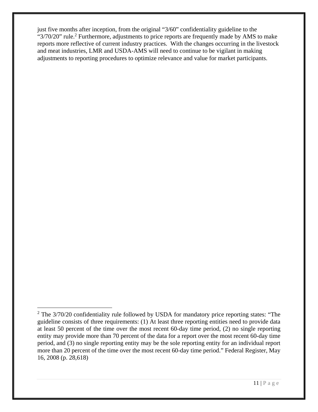just five months after inception, from the original "3/60" confidentiality guideline to the " $3/70/20$ " rule.<sup>2</sup> Furthermore, adjustments to price reports are frequently made by AMS to make reports more reflective of current industry practices. With the changes occurring in the livestock and meat industries, LMR and USDA-AMS will need to continue to be vigilant in making adjustments to reporting procedures to optimize relevance and value for market participants.

<u>.</u>

 $2$  The  $3/70/20$  confidentiality rule followed by USDA for mandatory price reporting states: "The guideline consists of three requirements: (1) At least three reporting entities need to provide data at least 50 percent of the time over the most recent 60-day time period, (2) no single reporting entity may provide more than 70 percent of the data for a report over the most recent 60-day time period, and (3) no single reporting entity may be the sole reporting entity for an individual report more than 20 percent of the time over the most recent 60-day time period." Federal Register, May 16, 2008 (p. 28,618)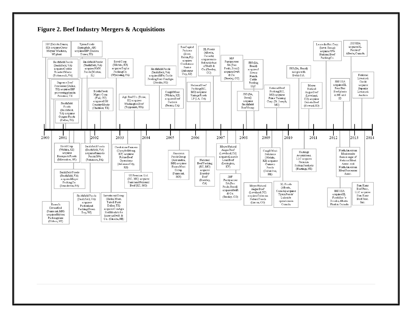#### **Figure 2. Beef Industry Mergers & Acquisitions**

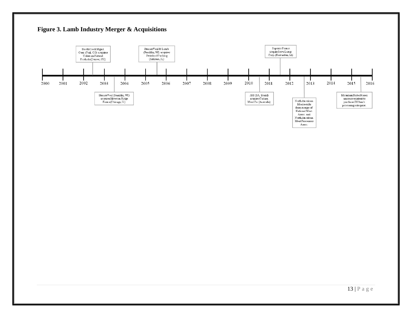

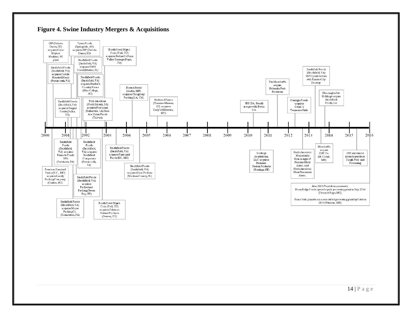#### **Figure 4. Swine Industry Mergers & Acquisitions**

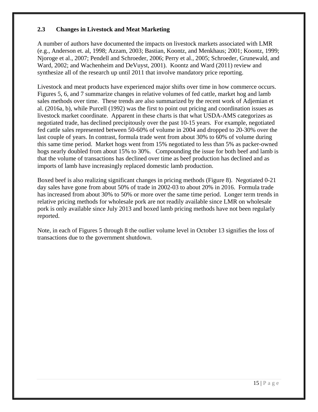### **2.3 Changes in Livestock and Meat Marketing**

A number of authors have documented the impacts on livestock markets associated with LMR (e.g., Anderson et. al, 1998; Azzam, 2003; Bastian, Koontz, and Menkhaus; 2001; Koontz, 1999; Njoroge et al., 2007; Pendell and Schroeder, 2006; Perry et al., 2005; Schroeder, Grunewald, and Ward, 2002; and Wachenheim and DeVuyst, 2001). Koontz and Ward (2011) review and synthesize all of the research up until 2011 that involve mandatory price reporting.

Livestock and meat products have experienced major shifts over time in how commerce occurs. Figures 5, 6, and 7 summarize changes in relative volumes of fed cattle, market hog and lamb sales methods over time. These trends are also summarized by the recent work of Adjemian et al. (2016a, b), while Purcell (1992) was the first to point out pricing and coordination issues as livestock market coordinate. Apparent in these charts is that what USDA-AMS categorizes as negotiated trade, has declined precipitously over the past 10-15 years. For example, negotiated fed cattle sales represented between 50-60% of volume in 2004 and dropped to 20-30% over the last couple of years. In contrast, formula trade went from about 30% to 60% of volume during this same time period. Market hogs went from 15% negotiated to less than 5% as packer-owned hogs nearly doubled from about 15% to 30%. Compounding the issue for both beef and lamb is that the volume of transactions has declined over time as beef production has declined and as imports of lamb have increasingly replaced domestic lamb production.

Boxed beef is also realizing significant changes in pricing methods (Figure 8). Negotiated 0-21 day sales have gone from about 50% of trade in 2002-03 to about 20% in 2016. Formula trade has increased from about 30% to 50% or more over the same time period. Longer term trends in relative pricing methods for wholesale pork are not readily available since LMR on wholesale pork is only available since July 2013 and boxed lamb pricing methods have not been regularly reported.

Note, in each of Figures 5 through 8 the outlier volume level in October 13 signifies the loss of transactions due to the government shutdown.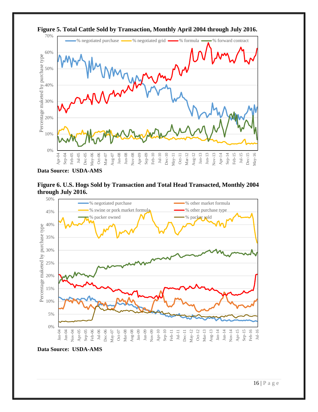

**Figure 5. Total Cattle Sold by Transaction, Monthly April 2004 through July 2016.** 

**Data Source: USDA-AMS** 





**Data Source: USDA-AMS**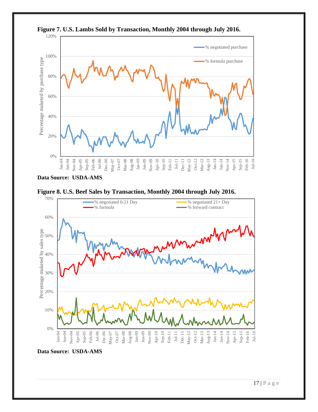

**Figure 7. U.S. Lambs Sold by Transaction, Monthly 2004 through July 2016.** 

**Data Source: USDA-AMS** 





**Data Source: USDA-AMS**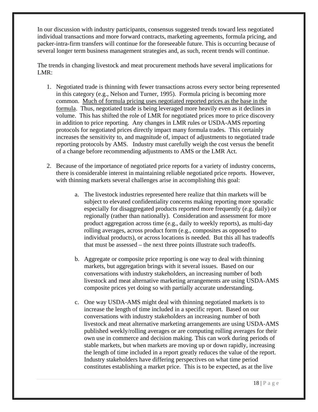In our discussion with industry participants, consensus suggested trends toward less negotiated individual transactions and more forward contracts, marketing agreements, formula pricing, and packer-intra-firm transfers will continue for the foreseeable future. This is occurring because of several longer term business management strategies and, as such, recent trends will continue.

The trends in changing livestock and meat procurement methods have several implications for LMR:

- 1. Negotiated trade is thinning with fewer transactions across every sector being represented in this category (e.g., Nelson and Turner, 1995). Formula pricing is becoming more common. Much of formula pricing uses negotiated reported prices as the base in the formula. Thus, negotiated trade is being leveraged more heavily even as it declines in volume. This has shifted the role of LMR for negotiated prices more to price discovery in addition to price reporting. Any changes in LMR rules or USDA-AMS reporting protocols for negotiated prices directly impact many formula trades. This certainly increases the sensitivity to, and magnitude of, impact of adjustments to negotiated trade reporting protocols by AMS. Industry must carefully weigh the cost versus the benefit of a change before recommending adjustments to AMS or the LMR Act.
- 2. Because of the importance of negotiated price reports for a variety of industry concerns, there is considerable interest in maintaining reliable negotiated price reports. However, with thinning markets several challenges arise in accomplishing this goal:
	- a. The livestock industries represented here realize that thin markets will be subject to elevated confidentiality concerns making reporting more sporadic especially for disaggregated products reported more frequently (e.g. daily) or regionally (rather than nationally). Consideration and assessment for more product aggregation across time (e.g., daily to weekly reports), as multi-day rolling averages, across product form (e.g., composites as opposed to individual products), or across locations is needed. But this all has tradeoffs that must be assessed – the next three points illustrate such tradeoffs.
	- b. Aggregate or composite price reporting is one way to deal with thinning markets, but aggregation brings with it several issues. Based on our conversations with industry stakeholders, an increasing number of both livestock and meat alternative marketing arrangements are using USDA-AMS composite prices yet doing so with partially accurate understanding.
	- c. One way USDA-AMS might deal with thinning negotiated markets is to increase the length of time included in a specific report. Based on our conversations with industry stakeholders an increasing number of both livestock and meat alternative marketing arrangements are using USDA-AMS published weekly/rolling averages or are computing rolling averages for their own use in commerce and decision making. This can work during periods of stable markets, but when markets are moving up or down rapidly, increasing the length of time included in a report greatly reduces the value of the report. Industry stakeholders have differing perspectives on what time period constitutes establishing a market price. This is to be expected, as at the live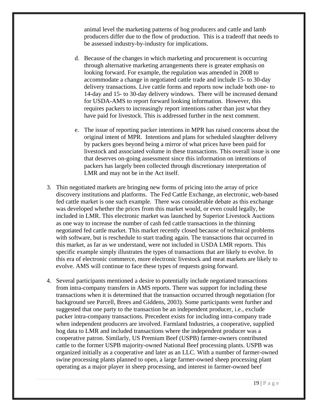animal level the marketing patterns of hog producers and cattle and lamb producers differ due to the flow of production. This is a tradeoff that needs to be assessed industry-by-industry for implications.

- d. Because of the changes in which marketing and procurement is occurring through alternative marketing arrangements there is greater emphasis on looking forward. For example, the regulation was amended in 2008 to accommodate a change in negotiated cattle trade and include 15- to 30-day delivery transactions. Live cattle forms and reports now include both one- to 14-day and 15- to 30-day delivery windows. There will be increased demand for USDA-AMS to report forward looking information. However, this requires packers to increasingly report intentions rather than just what they have paid for livestock. This is addressed further in the next comment.
- e. The issue of reporting packer intentions in MPR has raised concerns about the original intent of MPR. Intentions and plans for scheduled slaughter delivery by packers goes beyond being a mirror of what prices have been paid for livestock and associated volume in these transactions. This overall issue is one that deserves on-going assessment since this information on intentions of packers has largely been collected through discretionary interpretation of LMR and may not be in the Act itself.
- 3. Thin negotiated markets are bringing new forms of pricing into the array of price discovery institutions and platforms. The Fed Cattle Exchange, an electronic, web-based fed cattle market is one such example. There was considerable debate as this exchange was developed whether the prices from this market would, or even could legally, be included in LMR. This electronic market was launched by Superior Livestock Auctions as one way to increase the number of cash fed cattle transactions in the thinning negotiated fed cattle market. This market recently closed because of technical problems with software, but is reschedule to start trading again. The transactions that occurred in this market, as far as we understand, were not included in USDA LMR reports. This specific example simply illustrates the types of transactions that are likely to evolve. In this era of electronic commerce, more electronic livestock and meat markets are likely to evolve. AMS will continue to face these types of requests going forward.
- 4. Several participants mentioned a desire to potentially include negotiated transactions from intra-company transfers in AMS reports. There was support for including these transactions when it is determined that the transaction occurred through negotiation (for background see Parcell, Brees and Giddens, 2003). Some participants went further and suggested that one party to the transaction be an independent producer, i.e., exclude packer intra-company transactions. Precedent exists for including intra-company trade when independent producers are involved. Farmland Industries, a cooperative, supplied hog data to LMR and included transactions where the independent producer was a cooperative patron. Similarly, US Premium Beef (USPB) farmer-owners contributed cattle to the former USPB majority-owned National Beef processing plants. USPB was organized initially as a cooperative and later as an LLC. With a number of farmer-owned swine processing plants planned to open, a large farmer-owned sheep processing plant operating as a major player in sheep processing, and interest in farmer-owned beef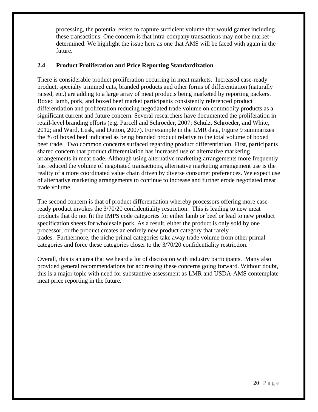processing, the potential exists to capture sufficient volume that would garner including these transactions. One concern is that intra-company transactions may not be marketdetermined. We highlight the issue here as one that AMS will be faced with again in the future.

### **2.4 Product Proliferation and Price Reporting Standardization**

There is considerable product proliferation occurring in meat markets. Increased case-ready product, specialty trimmed cuts, branded products and other forms of differentiation (naturally raised, etc.) are adding to a large array of meat products being marketed by reporting packers. Boxed lamb, pork, and boxed beef market participants consistently referenced product differentiation and proliferation reducing negotiated trade volume on commodity products as a significant current and future concern. Several researchers have documented the proliferation in retail-level branding efforts (e.g. Parcell and Schroeder, 2007; Schulz, Schroeder, and White, 2012; and Ward, Lusk, and Dutton, 2007). For example in the LMR data, Figure 9 summarizes the % of boxed beef indicated as being branded product relative to the total volume of boxed beef trade. Two common concerns surfaced regarding product differentiation. First, participants shared concern that product differentiation has increased use of alternative marketing arrangements in meat trade. Although using alternative marketing arrangements more frequently has reduced the volume of negotiated transactions, alternative marketing arrangement use is the reality of a more coordinated value chain driven by diverse consumer preferences. We expect use of alternative marketing arrangements to continue to increase and further erode negotiated meat trade volume.

The second concern is that of product differentiation whereby processors offering more caseready product invokes the 3/70/20 confidentiality restriction. This is leading to new meat products that do not fit the IMPS code categories for either lamb or beef or lead to new product specification sheets for wholesale pork. As a result, either the product is only sold by one processor, or the product creates an entirely new product category that rarely trades. Furthermore, the niche primal categories take away trade volume from other primal categories and force these categories closer to the 3/70/20 confidentiality restriction.

Overall, this is an area that we heard a lot of discussion with industry participants. Many also provided general recommendations for addressing these concerns going forward. Without doubt, this is a major topic with need for substantive assessment as LMR and USDA-AMS contemplate meat price reporting in the future.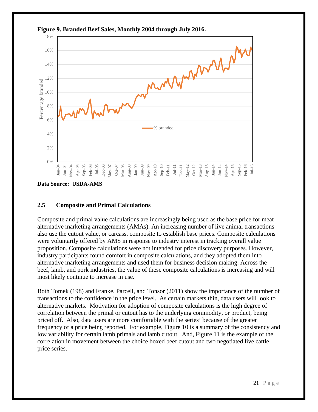

**Figure 9. Branded Beef Sales, Monthly 2004 through July 2016.** 

**Data Source: USDA-AMS** 

### **2.5 Composite and Primal Calculations**

Composite and primal value calculations are increasingly being used as the base price for meat alternative marketing arrangements (AMAs). An increasing number of live animal transactions also use the cutout value, or carcass, composite to establish base prices. Composite calculations were voluntarily offered by AMS in response to industry interest in tracking overall value proposition. Composite calculations were not intended for price discovery purposes. However, industry participants found comfort in composite calculations, and they adopted them into alternative marketing arrangements and used them for business decision making. Across the beef, lamb, and pork industries, the value of these composite calculations is increasing and will most likely continue to increase in use.

Both Tomek (198) and Franke, Parcell, and Tonsor (2011) show the importance of the number of transactions to the confidence in the price level. As certain markets thin, data users will look to alternative markets. Motivation for adoption of composite calculations is the high degree of correlation between the primal or cutout has to the underlying commodity, or product, being priced off. Also, data users are more comfortable with the series' because of the greater frequency of a price being reported. For example, Figure 10 is a summary of the consistency and low variability for certain lamb primals and lamb cutout. And, Figure 11 is the example of the correlation in movement between the choice boxed beef cutout and two negotiated live cattle price series.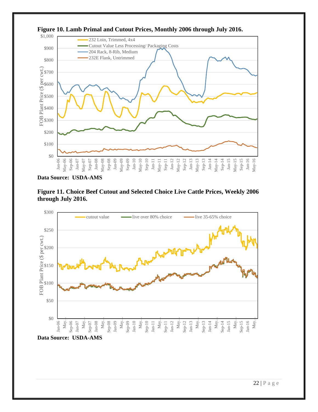

**Figure 10. Lamb Primal and Cutout Prices, Monthly 2006 through July 2016.** 

**Data Source: USDA-AMS** 





**Data Source: USDA-AMS**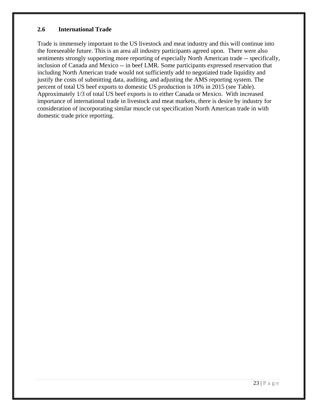### **2.6 International Trade**

Trade is immensely important to the US livestock and meat industry and this will continue into the foreseeable future. This is an area all industry participants agreed upon. There were also sentiments strongly supporting more reporting of especially North American trade -- specifically, inclusion of Canada and Mexico -- in beef LMR. Some participants expressed reservation that including North American trade would not sufficiently add to negotiated trade liquidity and justify the costs of submitting data, auditing, and adjusting the AMS reporting system. The percent of total US beef exports to domestic US production is 10% in 2015 (see Table). Approximately 1/3 of total US beef exports is to either Canada or Mexico. With increased importance of international trade in livestock and meat markets, there is desire by industry for consideration of incorporating similar muscle cut specification North American trade in with domestic trade price reporting.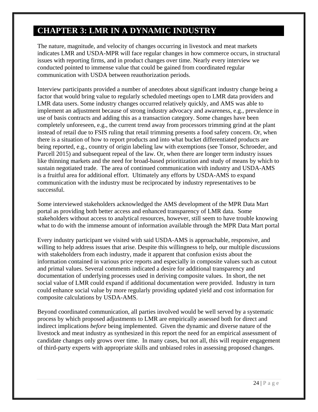# **CHAPTER 3: LMR IN A DYNAMIC INDUSTRY**

The nature, magnitude, and velocity of changes occurring in livestock and meat markets indicates LMR and USDA-MPR will face regular changes in how commerce occurs, in structural issues with reporting firms, and in product changes over time. Nearly every interview we conducted pointed to immense value that could be gained from coordinated regular communication with USDA between reauthorization periods.

Interview participants provided a number of anecdotes about significant industry change being a factor that would bring value to regularly scheduled meetings open to LMR data providers and LMR data users. Some industry changes occurred relatively quickly, and AMS was able to implement an adjustment because of strong industry advocacy and awareness, e.g., prevalence in use of basis contracts and adding this as a transaction category. Some changes have been completely unforeseen, e.g., the current trend away from processors trimming grind at the plant instead of retail due to FSIS ruling that retail trimming presents a food safety concern. Or, when there is a situation of how to report products and into what bucket differentiated products are being reported, e.g., country of origin labeling law with exemptions (see Tonsor, Schroeder, and Parcell 2015) and subsequent repeal of the law. Or, when there are longer term industry issues like thinning markets and the need for broad-based prioritization and study of means by which to sustain negotiated trade. The area of continued communication with industry and USDA-AMS is a fruitful area for additional effort. Ultimately any efforts by USDA-AMS to expand communication with the industry must be reciprocated by industry representatives to be successful.

Some interviewed stakeholders acknowledged the AMS development of the MPR Data Mart portal as providing both better access and enhanced transparency of LMR data. Some stakeholders without access to analytical resources, however, still seem to have trouble knowing what to do with the immense amount of information available through the MPR Data Mart portal

Every industry participant we visited with said USDA-AMS is approachable, responsive, and willing to help address issues that arise. Despite this willingness to help, our multiple discussions with stakeholders from each industry, made it apparent that confusion exists about the information contained in various price reports and especially in composite values such as cutout and primal values. Several comments indicated a desire for additional transparency and documentation of underlying processes used in deriving composite values. In short, the net social value of LMR could expand if additional documentation were provided. Industry in turn could enhance social value by more regularly providing updated yield and cost information for composite calculations by USDA-AMS.

Beyond coordinated communication, all parties involved would be well served by a systematic process by which proposed adjustments to LMR are empirically assessed both for direct and indirect implications *before* being implemented. Given the dynamic and diverse nature of the livestock and meat industry as synthesized in this report the need for an empirical assessment of candidate changes only grows over time. In many cases, but not all, this will require engagement of third-party experts with appropriate skills and unbiased roles in assessing proposed changes.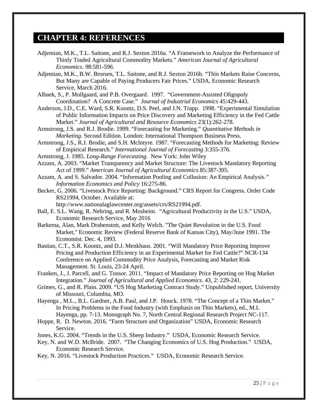### **CHAPTER 4: REFERENCES**

- Adjemian, M.K., T.L. Saitone, and R.J. Sexton 2016a. "A Framework to Analyze the Performance of Thinly Traded Agricultural Commodity Markets." *American Journal of Agricultural Economics*. 98:581-596.
- Adjemian, M.K., B.W. Brorsen, T.L. Saitone, and R.J. Sexton 2016b. "Thin Markets Raise Concerns, But Many are Capable of Paying Producers Fair Prices." USDA, Economic Research Service, March 2016.
- Albaek, S., P. Mollgaard, and P.B. Overgaard. 1997. "Government-Assisted Oligopoly Coordination? A Concrete Case." *Journal of Industrial Economics* 45:429-443.
- Anderson, J.D., C.E. Ward, S.R. Koontz, D.S. Peel, and J.N. Trapp. 1998. "Experimental Simulation of Public Information Impacts on Price Discovery and Marketing Efficiency in the Fed Cattle Market." *Journal of Agricultural and Resource Economics* 23(1):262-278.
- Armstrong, J.S. and R.J. Brodie. 1999. "Forecasting for Marketing." *Quantitative Methods in Marketing*. Second Edition. London: International Thompson Business Press.
- Armstrong, J.S., R.J. Brodie, and S.H. McIntyre. 1987. "Forecasting Methods for Marketing: Review of Empirical Research." *International Journal of Forecasting* 3:355-376.
- Armstrong, J. 1985. *Long-Range Forecasting*. New York: John Wiley
- Azzam, A. 2003. "Market Transparency and Market Structure: The Livestock Mandatory Reporting Act of 1999." *American Journal of Agricultural Economics* 85:387-395.
- Azzam, A. and S. Salvador. 2004. "Information Pooling and Collusion: An Empirical Analysis*." Information Economics and Policy* 16:275-86.
- Becker, G. 2006. "Livestock Price Reporting: Background." CRS Report for Congress. Order Code RS21994, October. Available at:
	- http://www.nationalaglawcenter.org/assets/crs/RS21994.pdf.
- Ball, E. S.L. Wang, R. Nehring, and R. Mosheim. "Agricultural Productivity in the U.S." USDA, Economic Research Service, May 2016
- Barkema, Alan, Mark Drabenstott, and Kelly Welch. "The Quiet Revolution in the U.S. Food Market," Economic Review (Federal Reserve Bank of Kansas City), May/June 1991. The Economist. Dec. 4, 1993.
- Bastian, C.T., S.R. Koontz, and D.J. Menkhaus. 2001. "Will Mandatory Price Reporting Improve Pricing and Production Efficiency in an Experimental Market for Fed Cattle?" NCR-134 Conference on Applied Commodity Price Analysis, Forecasting and Market Risk Management. St. Louis, 23-24 April.
- Franken, J., J. Parcell, and G. Tonsor. 2011. "Impact of Mandatory Price Reporting on Hog Market Integration." *Journal of Agricultural and Applied Economics*. 43, 2: 229-241.
- Grimes, G., and R. Plain. 2009. "US Hog Marketing Contract Study." Unpublished report, University of Missouri, Columbia, MO.
- Hayenga , M.L., B.L. Gardner, A.B. Paul, and J.P. Houck. 1978. "The Concept of a Thin Market." In Pricing Problems in the Food Industry (with Emphasis on Thin Markets), ed., M.L Hayenga, pp. 7-13. Monograph No. 7, North Central Regional Research Project NC-117.
- Hoppe, R. D. Newton. 2016. "Farm Structure and Organization" USDA, Economic Research Service.
- Jones, K.G. 2004. "Trends in the U.S. Sheep Industry." USDA, Economic Research Service.
- Key, N. and W.D. McBride. 2007. "The Changing Economics of U.S. Hog Production." USDA, Economic Research Service.
- Key, N. 2016. "Livestock Production Practices." USDA, Economic Research Service.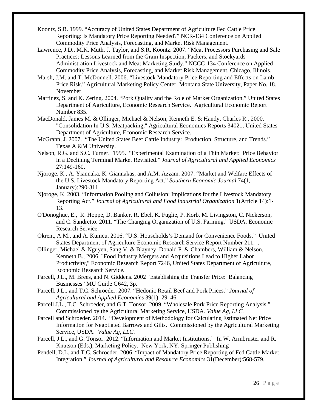- Koontz, S.R. 1999. "Accuracy of United States Department of Agriculture Fed Cattle Price Reporting: Is Mandatory Price Reporting Needed?" NCR-134 Conference on Applied Commodity Price Analysis, Forecasting, and Market Risk Management.
- Lawrence, J.D., M.K. Muth, J. Taylor, and S.R. Koontz. 2007. "Meat Processors Purchasing and Sale Practices: Lessons Learned from the Grain Inspection, Packers, and Stockyards Administration Livestock and Meat Marketing Study." NCCC-134 Conference on Applied Commodity Price Analysis, Forecasting, and Market Risk Management. Chicago, Illinois.
- Marsh, J.M. and T. McDonnell. 2006. "Livestock Mandatory Price Reporting and Effects on Lamb Price Risk." Agricultural Marketing Policy Center, Montana State University, Paper No. 18. November.
- Martinez, S. and K. Zering. 2004. "Pork Quality and the Role of Market Organization." United States Department of Agriculture, Economic Research Service. Agricultural Economic Report Number 835.
- MacDonald, James M. & Ollinger, Michael & Nelson, Kenneth E. & Handy, Charles R., 2000. "Consolidation In U.S. Meatpacking," Agricultural Economics Reports 34021, United States Department of Agriculture, Economic Research Service.
- McGrann, J. 2007. "The United States Beef Cattle Industry: Production, Structure, and Trends." Texas A &M University.
- Nelson, R.G. and S.C. Turner. 1995. "Experimental Examination of a Thin Market: Price Behavior in a Declining Terminal Market Revisited." *Journal of Agricultural and Applied Economics*  27:149-160.
- Njoroge, K., A. Yiannaka, K. Giannakas, and A.M. Azzam. 2007. "Market and Welfare Effects of the U.S. Livestock Mandatory Reporting Act." *Southern Economic Journal* 74(1, January):290-311.
- Njoroge, K. 2003. "Information Pooling and Collusion: Implications for the Livestock Mandatory Reporting Act." *Journal of Agricultural and Food Industrial Organization* 1(Article 14):1- 13.
- O'Donoghue, E., R. Hoppe, D. Banker, R. Ebel, K. Fuglie, P. Korb, M. Livingston, C. Nickerson, and C. Sandretto. 2011. "The Changing Organization of U.S. Farming." USDA, Economic Research Service.
- Okrent, A.M., and A. Kumcu. 2016. "U.S. Households's Demand for Convenience Foods." United States Department of Agriculture Economic Research Service Report Number 211. .
- Ollinger, Michael & Nguyen, Sang V. & Blayney, Donald P. & Chambers, William & Nelson, Kenneth B., 2006. "Food Industry Mergers and Acquisitions Lead to Higher Labor Productivity," Economic Research Report 7246, United States Department of Agriculture, Economic Research Service.
- Parcell, J.L., M. Brees, and N. Giddens. 2002 "Establishing the Transfer Price: Balancing Businesses" MU Guide G642, 3p.
- Parcell, J.L., and T.C. Schroeder. 2007. "Hedonic Retail Beef and Pork Prices." *Journal of Agricultural and Applied Economics* 39(1): 29–46
- Parcell J.L., T.C. Schroeder, and G.T. Tonsor. 2009. "Wholesale Pork Price Reporting Analysis." Commissioned by the Agricultural Marketing Service, USDA. *Value Ag, LLC.*
- Parcell and Schroeder. 2014. "Development of Methodology for Calculating Estimated Net Price Information for Negotiated Barrows and Gilts. Commissioned by the Agricultural Marketing Service, USDA. *Value Ag, LLC*.
- Parcell, J.L., and G. Tonsor. 2012. "Information and Market Institutions." In W. Armbruster and R. Knutson (Eds.), Marketing Policy. New York, NY: Springer Publishing
- Pendell, D.L. and T.C. Schroeder. 2006. "Impact of Mandatory Price Reporting of Fed Cattle Market Integration." *Journal of Agricultural and Resource Economics* 31(December):568-579.